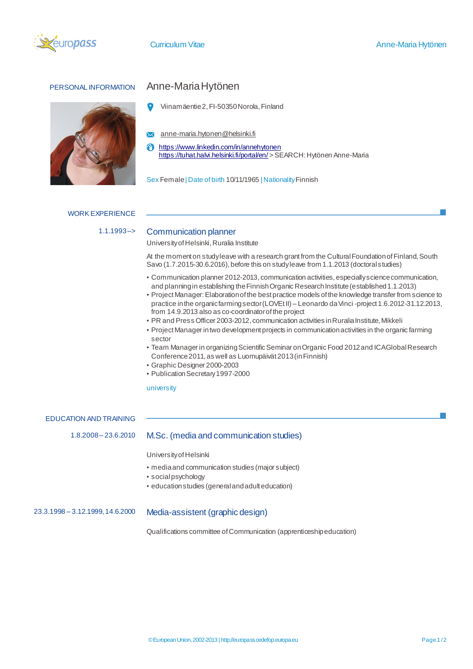



# PERSONAL INFORMATION Anne-Maria Hytönen

- Viinamäentie 2, FI-50350 Norola, Finland
- **X** anne-maria.hytonen@helsinki.fi
- <https://www.linkedin.com/in/annehytonen> A <https://tuhat.halvi.helsinki.fi/portal/en/> > SEARCH: Hytönen Anne-Maria

Sex Female | Date of birth 10/11/1965 | Nationality Finnish

### **WORK EXPERIENCE**

## 1.1.1993-> Communication planner

University of Helsinki, Ruralia Institute

At the moment on study leave with a research grant from the Cultural Foundation of Finland, South Savo (1.7.2015-30.6.2016), before this on study leave from 1.1.2013 (doctoral studies)

- Communication planner 2012-2013, communication activities, especially science communication, and planning in establishing the Finnish Organic Research Institute (established 1.1.2013)
- Project Manager: Elaboration of the best practice models of the knowledge transfer from science to practice in the organic farming sector (LOVEt II) – Leonardo da Vinci -project 1.6.2012-31.12.2013, from 14.9.2013 also as co-coordinator of the project
- PR and Press Officer 2003-2012, communication activities in Ruralia Institute, Mikkeli
- Project Manager in two development projects in communication activities in the organic farming sector
- Team Manager in organizing Scientific Seminar on Organic Food 2012 and ICA Global Research Conference 2011, as well as Luomupäivät 2013 (in Finnish)
- Graphic Designer 2000-2003
- Publication Secretary 1997-2000

### university

EDUCATION AND TRAINING

## 1.8.2008 – 23.6.2010 M.Sc. (media and communication studies)

University of Helsinki

- media and communication studies (major subject)
- social psychology
- education studies (general and adult education)

## 23.3.1998 – 3.12.1999, 14.6.2000 Media-assistent (graphic design)

Qualifications committee of Communication (apprenticeship education)